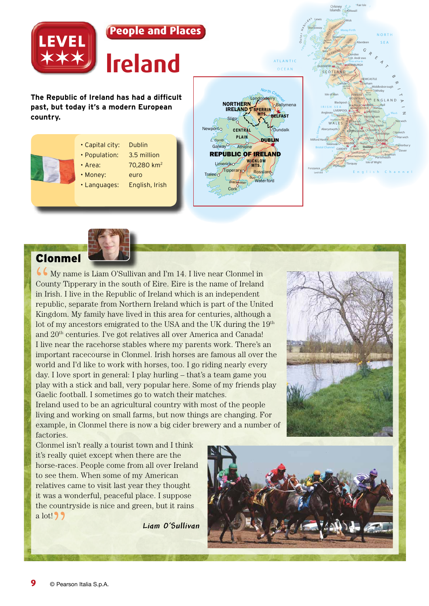

# Clonmel

 $\overline{\mathbf{G}}$  My name is Liam O'Sullivan and I'm 14. I live near Clonmel in County Tipperary in the south of Eire. Eire is the name of Ireland in Irish. I live in the Republic of Ireland which is an independent republic, separate from Northern Ireland which is part of the United Kingdom. My family have lived in this area for centuries, although a lot of my ancestors emigrated to the USA and the UK during the 19<sup>th</sup> and 20th centuries. I've got relatives all over America and Canada! I live near the racehorse stables where my parents work. There's an important racecourse in Clonmel. Irish horses are famous all over the world and I'd like to work with horses, too. I go riding nearly every day. I love sport in general: I play hurling – that's a team game you play with a stick and ball, very popular here. Some of my friends play Gaelic football. I sometimes go to watch their matches.

Ireland used to be an agricultural country with most of the people living and working on small farms, but now things are changing. For example, in Clonmel there is now a big cider brewery and a number of factories.



Clonmel isn't really a tourist town and I think it's really quiet except when there are the horse-races. People come from all over Ireland to see them. When some of my American relatives came to visit last year they thought it was a wonderful, peaceful place. I suppose the countryside is nice and green, but it rains  $a$  lot!  $99$ 

*Liam O'Sullivan*